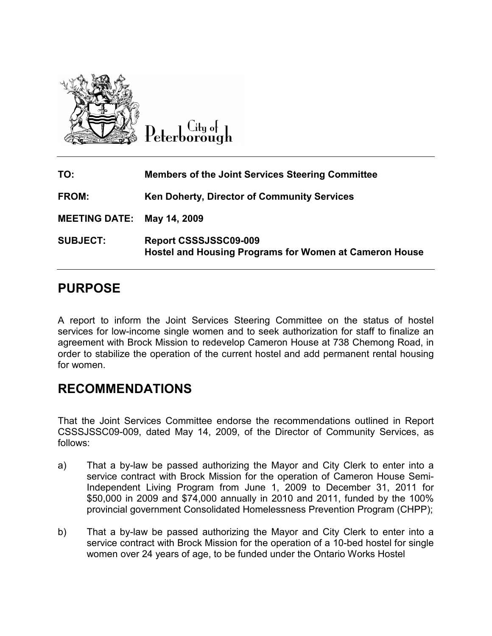

Litu of Peterborough

| TO:                        | <b>Members of the Joint Services Steering Committee</b>                         |
|----------------------------|---------------------------------------------------------------------------------|
| FROM:                      | Ken Doherty, Director of Community Services                                     |
| MEETING DATE: May 14, 2009 |                                                                                 |
| <b>SUBJECT:</b>            | Report CSSSJSSC09-009<br>Hostel and Housing Programs for Women at Cameron House |

# PURPOSE

A report to inform the Joint Services Steering Committee on the status of hostel services for low-income single women and to seek authorization for staff to finalize an agreement with Brock Mission to redevelop Cameron House at 738 Chemong Road, in order to stabilize the operation of the current hostel and add permanent rental housing for women.

### RECOMMENDATIONS

That the Joint Services Committee endorse the recommendations outlined in Report CSSSJSSC09-009, dated May 14, 2009, of the Director of Community Services, as follows:

- a) That a by-law be passed authorizing the Mayor and City Clerk to enter into a service contract with Brock Mission for the operation of Cameron House Semi-Independent Living Program from June 1, 2009 to December 31, 2011 for \$50,000 in 2009 and \$74,000 annually in 2010 and 2011, funded by the 100% provincial government Consolidated Homelessness Prevention Program (CHPP);
- b) That a by-law be passed authorizing the Mayor and City Clerk to enter into a service contract with Brock Mission for the operation of a 10-bed hostel for single women over 24 years of age, to be funded under the Ontario Works Hostel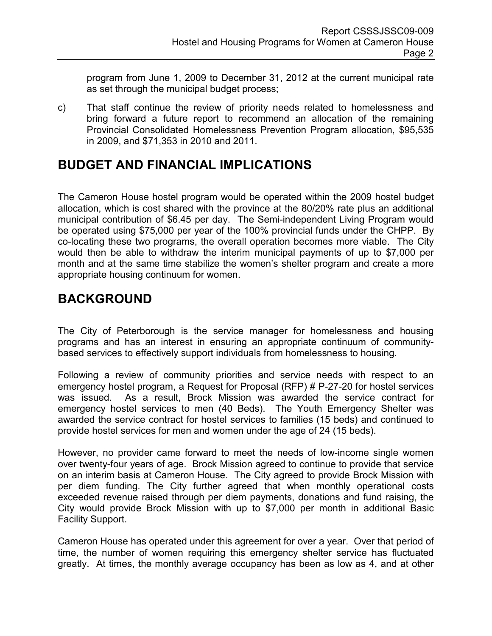program from June 1, 2009 to December 31, 2012 at the current municipal rate as set through the municipal budget process;

c) That staff continue the review of priority needs related to homelessness and bring forward a future report to recommend an allocation of the remaining Provincial Consolidated Homelessness Prevention Program allocation, \$95,535 in 2009, and \$71,353 in 2010 and 2011.

# BUDGET AND FINANCIAL IMPLICATIONS

The Cameron House hostel program would be operated within the 2009 hostel budget allocation, which is cost shared with the province at the 80/20% rate plus an additional municipal contribution of \$6.45 per day. The Semi-independent Living Program would be operated using \$75,000 per year of the 100% provincial funds under the CHPP. By co-locating these two programs, the overall operation becomes more viable. The City would then be able to withdraw the interim municipal payments of up to \$7,000 per month and at the same time stabilize the women's shelter program and create a more appropriate housing continuum for women.

# BACKGROUND

The City of Peterborough is the service manager for homelessness and housing programs and has an interest in ensuring an appropriate continuum of communitybased services to effectively support individuals from homelessness to housing.

Following a review of community priorities and service needs with respect to an emergency hostel program, a Request for Proposal (RFP) # P-27-20 for hostel services was issued. As a result, Brock Mission was awarded the service contract for emergency hostel services to men (40 Beds). The Youth Emergency Shelter was awarded the service contract for hostel services to families (15 beds) and continued to provide hostel services for men and women under the age of 24 (15 beds).

However, no provider came forward to meet the needs of low-income single women over twenty-four years of age. Brock Mission agreed to continue to provide that service on an interim basis at Cameron House. The City agreed to provide Brock Mission with per diem funding. The City further agreed that when monthly operational costs exceeded revenue raised through per diem payments, donations and fund raising, the City would provide Brock Mission with up to \$7,000 per month in additional Basic Facility Support.

Cameron House has operated under this agreement for over a year. Over that period of time, the number of women requiring this emergency shelter service has fluctuated greatly. At times, the monthly average occupancy has been as low as 4, and at other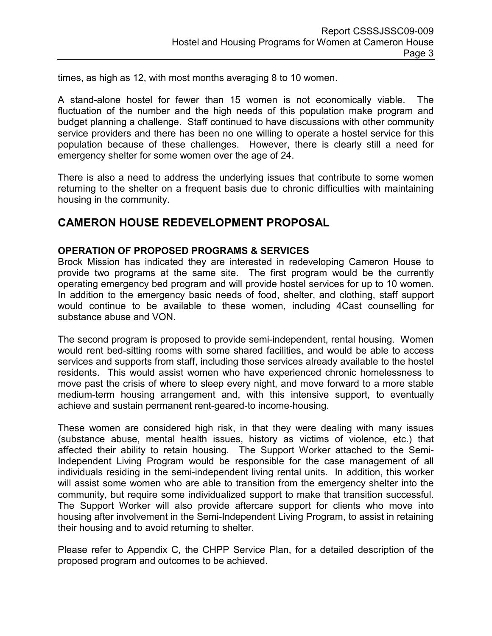times, as high as 12, with most months averaging 8 to 10 women.

A stand-alone hostel for fewer than 15 women is not economically viable. The fluctuation of the number and the high needs of this population make program and budget planning a challenge. Staff continued to have discussions with other community service providers and there has been no one willing to operate a hostel service for this population because of these challenges. However, there is clearly still a need for emergency shelter for some women over the age of 24.

There is also a need to address the underlying issues that contribute to some women returning to the shelter on a frequent basis due to chronic difficulties with maintaining housing in the community.

### CAMERON HOUSE REDEVELOPMENT PROPOSAL

#### OPERATION OF PROPOSED PROGRAMS & SERVICES

Brock Mission has indicated they are interested in redeveloping Cameron House to provide two programs at the same site. The first program would be the currently operating emergency bed program and will provide hostel services for up to 10 women. In addition to the emergency basic needs of food, shelter, and clothing, staff support would continue to be available to these women, including 4Cast counselling for substance abuse and VON.

The second program is proposed to provide semi-independent, rental housing. Women would rent bed-sitting rooms with some shared facilities, and would be able to access services and supports from staff, including those services already available to the hostel residents. This would assist women who have experienced chronic homelessness to move past the crisis of where to sleep every night, and move forward to a more stable medium-term housing arrangement and, with this intensive support, to eventually achieve and sustain permanent rent-geared-to income-housing.

These women are considered high risk, in that they were dealing with many issues (substance abuse, mental health issues, history as victims of violence, etc.) that affected their ability to retain housing. The Support Worker attached to the Semi-Independent Living Program would be responsible for the case management of all individuals residing in the semi-independent living rental units. In addition, this worker will assist some women who are able to transition from the emergency shelter into the community, but require some individualized support to make that transition successful. The Support Worker will also provide aftercare support for clients who move into housing after involvement in the Semi-Independent Living Program, to assist in retaining their housing and to avoid returning to shelter.

Please refer to Appendix C, the CHPP Service Plan, for a detailed description of the proposed program and outcomes to be achieved.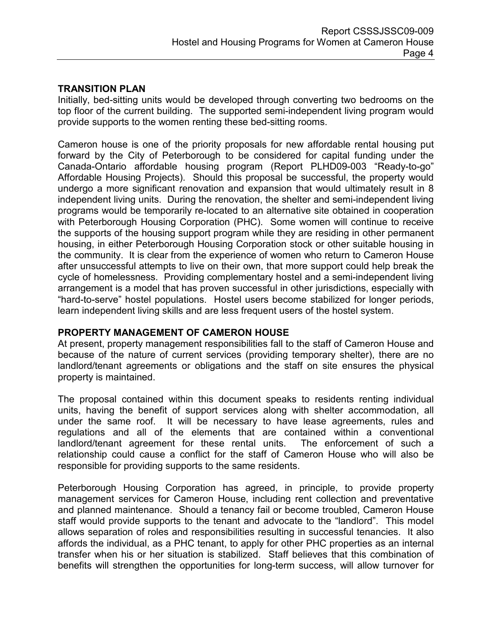#### TRANSITION PLAN

Initially, bed-sitting units would be developed through converting two bedrooms on the top floor of the current building. The supported semi-independent living program would provide supports to the women renting these bed-sitting rooms.

Cameron house is one of the priority proposals for new affordable rental housing put forward by the City of Peterborough to be considered for capital funding under the Canada-Ontario affordable housing program (Report PLHD09-003 "Ready-to-go" Affordable Housing Projects). Should this proposal be successful, the property would undergo a more significant renovation and expansion that would ultimately result in 8 independent living units. During the renovation, the shelter and semi-independent living programs would be temporarily re-located to an alternative site obtained in cooperation with Peterborough Housing Corporation (PHC). Some women will continue to receive the supports of the housing support program while they are residing in other permanent housing, in either Peterborough Housing Corporation stock or other suitable housing in the community. It is clear from the experience of women who return to Cameron House after unsuccessful attempts to live on their own, that more support could help break the cycle of homelessness. Providing complementary hostel and a semi-independent living arrangement is a model that has proven successful in other jurisdictions, especially with "hard-to-serve" hostel populations. Hostel users become stabilized for longer periods, learn independent living skills and are less frequent users of the hostel system.

#### PROPERTY MANAGEMENT OF CAMERON HOUSE

At present, property management responsibilities fall to the staff of Cameron House and because of the nature of current services (providing temporary shelter), there are no landlord/tenant agreements or obligations and the staff on site ensures the physical property is maintained.

The proposal contained within this document speaks to residents renting individual units, having the benefit of support services along with shelter accommodation, all under the same roof. It will be necessary to have lease agreements, rules and regulations and all of the elements that are contained within a conventional landlord/tenant agreement for these rental units. The enforcement of such a relationship could cause a conflict for the staff of Cameron House who will also be responsible for providing supports to the same residents.

Peterborough Housing Corporation has agreed, in principle, to provide property management services for Cameron House, including rent collection and preventative and planned maintenance. Should a tenancy fail or become troubled, Cameron House staff would provide supports to the tenant and advocate to the "landlord". This model allows separation of roles and responsibilities resulting in successful tenancies. It also affords the individual, as a PHC tenant, to apply for other PHC properties as an internal transfer when his or her situation is stabilized. Staff believes that this combination of benefits will strengthen the opportunities for long-term success, will allow turnover for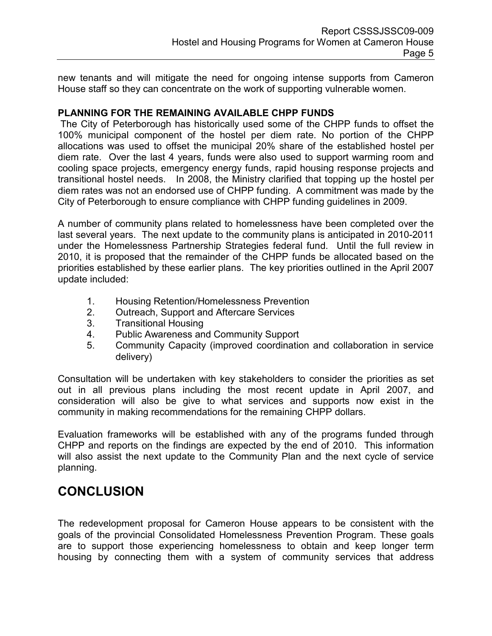new tenants and will mitigate the need for ongoing intense supports from Cameron House staff so they can concentrate on the work of supporting vulnerable women.

#### PLANNING FOR THE REMAINING AVAILABLE CHPP FUNDS

 The City of Peterborough has historically used some of the CHPP funds to offset the 100% municipal component of the hostel per diem rate. No portion of the CHPP allocations was used to offset the municipal 20% share of the established hostel per diem rate. Over the last 4 years, funds were also used to support warming room and cooling space projects, emergency energy funds, rapid housing response projects and transitional hostel needs. In 2008, the Ministry clarified that topping up the hostel per diem rates was not an endorsed use of CHPP funding. A commitment was made by the City of Peterborough to ensure compliance with CHPP funding guidelines in 2009.

A number of community plans related to homelessness have been completed over the last several years. The next update to the community plans is anticipated in 2010-2011 under the Homelessness Partnership Strategies federal fund. Until the full review in 2010, it is proposed that the remainder of the CHPP funds be allocated based on the priorities established by these earlier plans. The key priorities outlined in the April 2007 update included:

- 1. Housing Retention/Homelessness Prevention
- 2. Outreach, Support and Aftercare Services
- 3. Transitional Housing
- 4. Public Awareness and Community Support
- 5. Community Capacity (improved coordination and collaboration in service delivery)

Consultation will be undertaken with key stakeholders to consider the priorities as set out in all previous plans including the most recent update in April 2007, and consideration will also be give to what services and supports now exist in the community in making recommendations for the remaining CHPP dollars.

Evaluation frameworks will be established with any of the programs funded through CHPP and reports on the findings are expected by the end of 2010. This information will also assist the next update to the Community Plan and the next cycle of service planning.

### **CONCLUSION**

The redevelopment proposal for Cameron House appears to be consistent with the goals of the provincial Consolidated Homelessness Prevention Program. These goals are to support those experiencing homelessness to obtain and keep longer term housing by connecting them with a system of community services that address